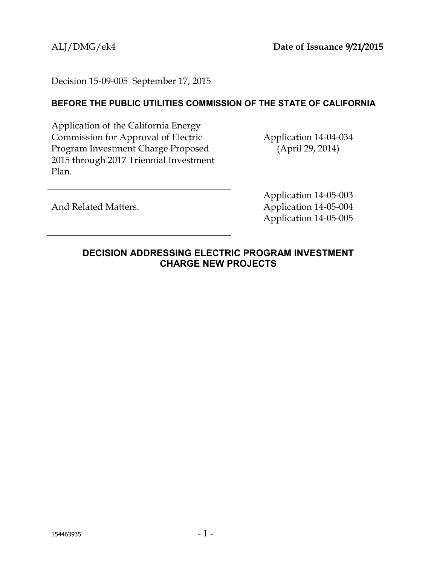Decision 15-09-005 September 17, 2015

## **BEFORE THE PUBLIC UTILITIES COMMISSION OF THE STATE OF CALIFORNIA**

Application of the California Energy Commission for Approval of Electric Program Investment Charge Proposed 2015 through 2017 Triennial Investment Plan.

Application 14-04-034 (April 29, 2014)

And Related Matters.

Application 14-05-003 Application 14-05-004 Application 14-05-005

<span id="page-0-0"></span>**DECISION ADDRESSING ELECTRIC PROGRAM INVESTMENT CHARGE NEW PROJECTS**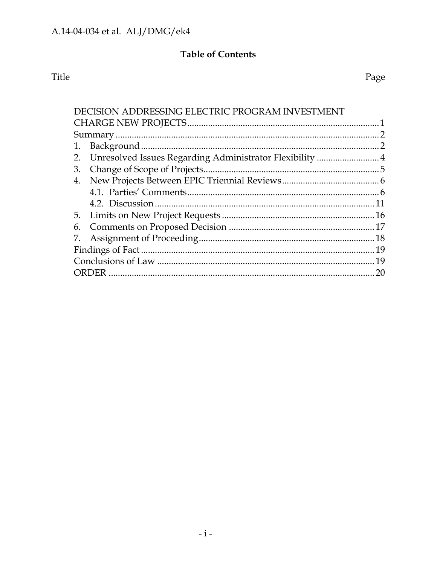# **Table of Contents**

# Title

Page

| DECISION ADDRESSING ELECTRIC PROGRAM INVESTMENT                |     |
|----------------------------------------------------------------|-----|
|                                                                |     |
|                                                                |     |
| 1.                                                             |     |
| Unresolved Issues Regarding Administrator Flexibility  4<br>2. |     |
| 3.                                                             |     |
| 4.                                                             |     |
|                                                                |     |
|                                                                |     |
|                                                                |     |
| 6.                                                             |     |
| 7.                                                             |     |
|                                                                | .19 |
|                                                                |     |
|                                                                | 20  |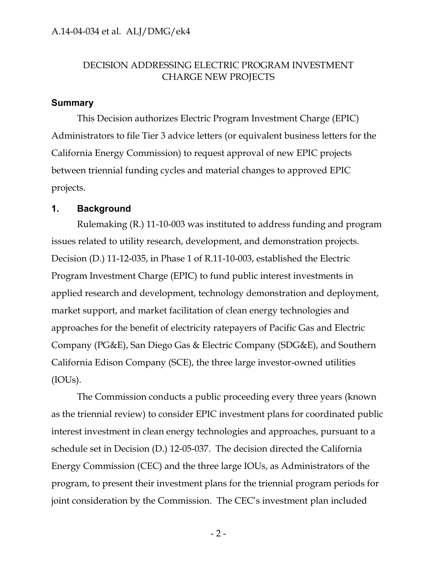## DECISION ADDRESSING ELECTRIC PROGRAM INVESTMENT CHARGE NEW PROJECTS

#### <span id="page-2-0"></span>**Summary**

This Decision authorizes Electric Program Investment Charge (EPIC) Administrators to file Tier 3 advice letters (or equivalent business letters for the California Energy Commission) to request approval of new EPIC projects between triennial funding cycles and material changes to approved EPIC projects.

#### <span id="page-2-1"></span>**1. Background**

Rulemaking (R.) 11-10-003 was instituted to address funding and program issues related to utility research, development, and demonstration projects. Decision (D.) 11-12-035, in Phase 1 of R.11-10-003, established the Electric Program Investment Charge (EPIC) to fund public interest investments in applied research and development, technology demonstration and deployment, market support, and market facilitation of clean energy technologies and approaches for the benefit of electricity ratepayers of Pacific Gas and Electric Company (PG&E), San Diego Gas & Electric Company (SDG&E), and Southern California Edison Company (SCE), the three large investor-owned utilities (IOUs).

The Commission conducts a public proceeding every three years (known as the triennial review) to consider EPIC investment plans for coordinated public interest investment in clean energy technologies and approaches, pursuant to a schedule set in Decision (D.) 12-05-037. The decision directed the California Energy Commission (CEC) and the three large IOUs, as Administrators of the program, to present their investment plans for the triennial program periods for joint consideration by the Commission. The CEC's investment plan included

 $-2-$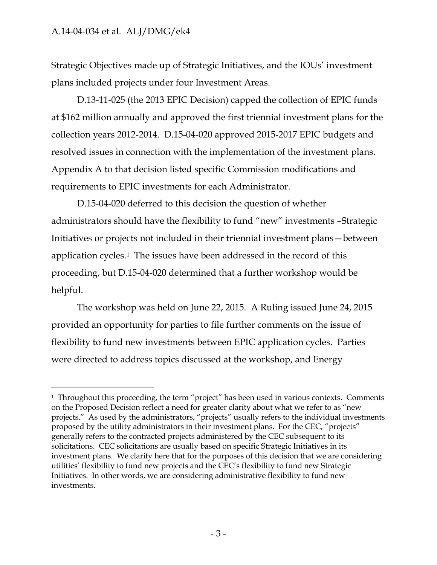$\overline{a}$ 

Strategic Objectives made up of Strategic Initiatives, and the IOUs' investment plans included projects under four Investment Areas.

D.13-11-025 (the 2013 EPIC Decision) capped the collection of EPIC funds at \$162 million annually and approved the first triennial investment plans for the collection years 2012-2014. D.15-04-020 approved 2015-2017 EPIC budgets and resolved issues in connection with the implementation of the investment plans. Appendix A to that decision listed specific Commission modifications and requirements to EPIC investments for each Administrator.

D.15-04-020 deferred to this decision the question of whether administrators should have the flexibility to fund "new" investments –Strategic Initiatives or projects not included in their triennial investment plans—between application cycles.<sup>1</sup> The issues have been addressed in the record of this proceeding, but D.15-04-020 determined that a further workshop would be helpful.

The workshop was held on June 22, 2015. A Ruling issued June 24, 2015 provided an opportunity for parties to file further comments on the issue of flexibility to fund new investments between EPIC application cycles. Parties were directed to address topics discussed at the workshop, and Energy

<sup>&</sup>lt;sup>1</sup> Throughout this proceeding, the term "project" has been used in various contexts. Comments on the Proposed Decision reflect a need for greater clarity about what we refer to as "new projects." As used by the administrators, "projects" usually refers to the individual investments proposed by the utility administrators in their investment plans. For the CEC, "projects" generally refers to the contracted projects administered by the CEC subsequent to its solicitations. CEC solicitations are usually based on specific Strategic Initiatives in its investment plans. We clarify here that for the purposes of this decision that we are considering utilities' flexibility to fund new projects and the CEC's flexibility to fund new Strategic Initiatives. In other words, we are considering administrative flexibility to fund new investments.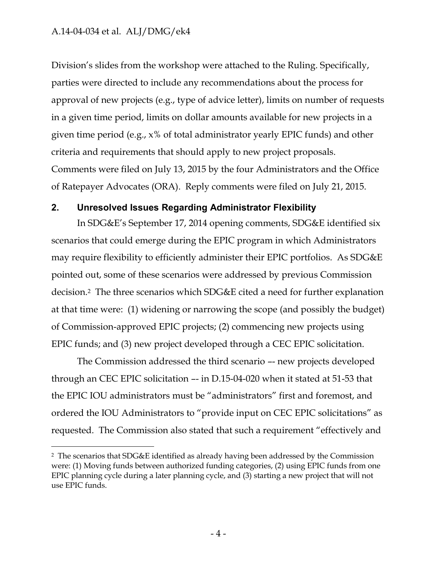$\overline{a}$ 

Division's slides from the workshop were attached to the Ruling. Specifically, parties were directed to include any recommendations about the process for approval of new projects (e.g., type of advice letter), limits on number of requests in a given time period, limits on dollar amounts available for new projects in a given time period (e.g., x% of total administrator yearly EPIC funds) and other criteria and requirements that should apply to new project proposals. Comments were filed on July 13, 2015 by the four Administrators and the Office of Ratepayer Advocates (ORA). Reply comments were filed on July 21, 2015.

#### <span id="page-4-0"></span>**2. Unresolved Issues Regarding Administrator Flexibility**

In SDG&E's September 17, 2014 opening comments, SDG&E identified six scenarios that could emerge during the EPIC program in which Administrators may require flexibility to efficiently administer their EPIC portfolios. As SDG&E pointed out, some of these scenarios were addressed by previous Commission decision. <sup>2</sup> The three scenarios which SDG&E cited a need for further explanation at that time were: (1) widening or narrowing the scope (and possibly the budget) of Commission-approved EPIC projects; (2) commencing new projects using EPIC funds; and (3) new project developed through a CEC EPIC solicitation.

The Commission addressed the third scenario –- new projects developed through an CEC EPIC solicitation –- in D.15-04-020 when it stated at 51-53 that the EPIC IOU administrators must be "administrators" first and foremost, and ordered the IOU Administrators to "provide input on CEC EPIC solicitations" as requested. The Commission also stated that such a requirement "effectively and

<sup>2</sup> The scenarios that SDG&E identified as already having been addressed by the Commission were: (1) Moving funds between authorized funding categories, (2) using EPIC funds from one EPIC planning cycle during a later planning cycle, and (3) starting a new project that will not use EPIC funds.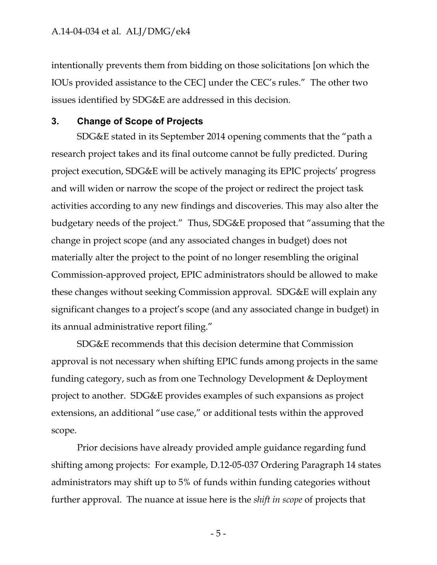intentionally prevents them from bidding on those solicitations [on which the IOUs provided assistance to the CEC] under the CEC's rules." The other two issues identified by SDG&E are addressed in this decision.

#### <span id="page-5-0"></span>**3. Change of Scope of Projects**

SDG&E stated in its September 2014 opening comments that the "path a research project takes and its final outcome cannot be fully predicted. During project execution, SDG&E will be actively managing its EPIC projects' progress and will widen or narrow the scope of the project or redirect the project task activities according to any new findings and discoveries. This may also alter the budgetary needs of the project." Thus, SDG&E proposed that "assuming that the change in project scope (and any associated changes in budget) does not materially alter the project to the point of no longer resembling the original Commission-approved project, EPIC administrators should be allowed to make these changes without seeking Commission approval. SDG&E will explain any significant changes to a project's scope (and any associated change in budget) in its annual administrative report filing."

SDG&E recommends that this decision determine that Commission approval is not necessary when shifting EPIC funds among projects in the same funding category, such as from one Technology Development & Deployment project to another. SDG&E provides examples of such expansions as project extensions, an additional "use case," or additional tests within the approved scope.

Prior decisions have already provided ample guidance regarding fund shifting among projects: For example, D.12-05-037 Ordering Paragraph 14 states administrators may shift up to 5% of funds within funding categories without further approval. The nuance at issue here is the *shift in scope* of projects that

- 5 -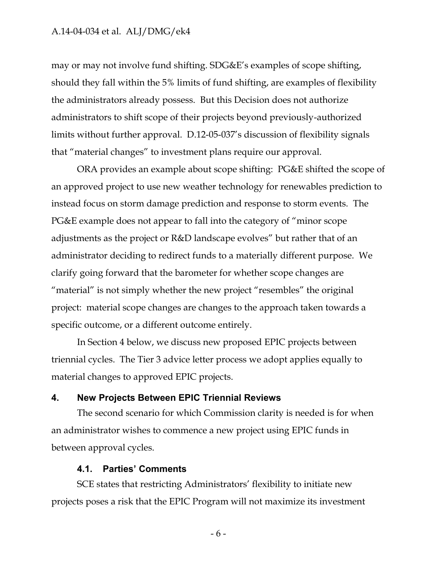may or may not involve fund shifting. SDG&E's examples of scope shifting, should they fall within the 5% limits of fund shifting, are examples of flexibility the administrators already possess. But this Decision does not authorize administrators to shift scope of their projects beyond previously-authorized limits without further approval. D.12-05-037's discussion of flexibility signals that "material changes" to investment plans require our approval.

ORA provides an example about scope shifting: PG&E shifted the scope of an approved project to use new weather technology for renewables prediction to instead focus on storm damage prediction and response to storm events. The PG&E example does not appear to fall into the category of "minor scope adjustments as the project or R&D landscape evolves" but rather that of an administrator deciding to redirect funds to a materially different purpose. We clarify going forward that the barometer for whether scope changes are "material" is not simply whether the new project "resembles" the original project: material scope changes are changes to the approach taken towards a specific outcome, or a different outcome entirely.

In Section 4 below, we discuss new proposed EPIC projects between triennial cycles. The Tier 3 advice letter process we adopt applies equally to material changes to approved EPIC projects.

### <span id="page-6-0"></span>**4. New Projects Between EPIC Triennial Reviews**

The second scenario for which Commission clarity is needed is for when an administrator wishes to commence a new project using EPIC funds in between approval cycles.

#### **4.1. Parties' Comments**

<span id="page-6-1"></span>SCE states that restricting Administrators' flexibility to initiate new projects poses a risk that the EPIC Program will not maximize its investment

- 6 -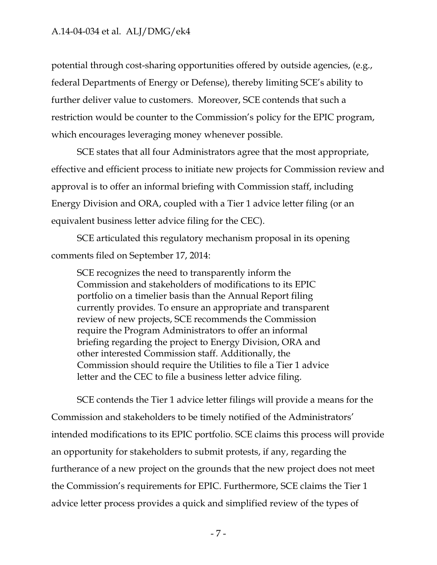potential through cost-sharing opportunities offered by outside agencies, (e.g., federal Departments of Energy or Defense), thereby limiting SCE's ability to further deliver value to customers. Moreover, SCE contends that such a restriction would be counter to the Commission's policy for the EPIC program, which encourages leveraging money whenever possible.

SCE states that all four Administrators agree that the most appropriate, effective and efficient process to initiate new projects for Commission review and approval is to offer an informal briefing with Commission staff, including Energy Division and ORA, coupled with a Tier 1 advice letter filing (or an equivalent business letter advice filing for the CEC).

SCE articulated this regulatory mechanism proposal in its opening comments filed on September 17, 2014:

SCE recognizes the need to transparently inform the Commission and stakeholders of modifications to its EPIC portfolio on a timelier basis than the Annual Report filing currently provides. To ensure an appropriate and transparent review of new projects, SCE recommends the Commission require the Program Administrators to offer an informal briefing regarding the project to Energy Division, ORA and other interested Commission staff. Additionally, the Commission should require the Utilities to file a Tier 1 advice letter and the CEC to file a business letter advice filing.

SCE contends the Tier 1 advice letter filings will provide a means for the Commission and stakeholders to be timely notified of the Administrators' intended modifications to its EPIC portfolio. SCE claims this process will provide an opportunity for stakeholders to submit protests, if any, regarding the furtherance of a new project on the grounds that the new project does not meet the Commission's requirements for EPIC. Furthermore, SCE claims the Tier 1 advice letter process provides a quick and simplified review of the types of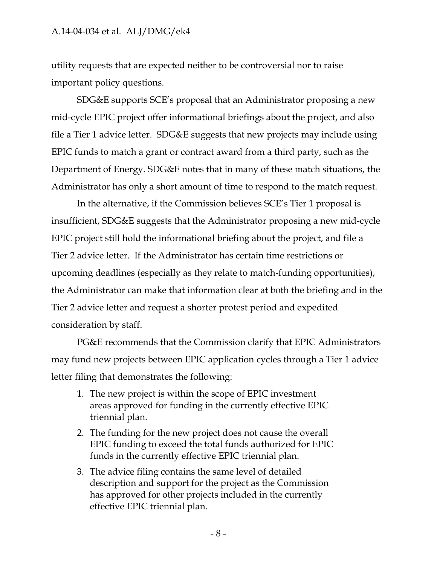utility requests that are expected neither to be controversial nor to raise important policy questions.

SDG&E supports SCE's proposal that an Administrator proposing a new mid-cycle EPIC project offer informational briefings about the project, and also file a Tier 1 advice letter. SDG&E suggests that new projects may include using EPIC funds to match a grant or contract award from a third party, such as the Department of Energy. SDG&E notes that in many of these match situations, the Administrator has only a short amount of time to respond to the match request.

In the alternative, if the Commission believes SCE's Tier 1 proposal is insufficient, SDG&E suggests that the Administrator proposing a new mid-cycle EPIC project still hold the informational briefing about the project, and file a Tier 2 advice letter. If the Administrator has certain time restrictions or upcoming deadlines (especially as they relate to match-funding opportunities), the Administrator can make that information clear at both the briefing and in the Tier 2 advice letter and request a shorter protest period and expedited consideration by staff.

PG&E recommends that the Commission clarify that EPIC Administrators may fund new projects between EPIC application cycles through a Tier 1 advice letter filing that demonstrates the following:

- 1. The new project is within the scope of EPIC investment areas approved for funding in the currently effective EPIC triennial plan.
- 2. The funding for the new project does not cause the overall EPIC funding to exceed the total funds authorized for EPIC funds in the currently effective EPIC triennial plan.
- 3. The advice filing contains the same level of detailed description and support for the project as the Commission has approved for other projects included in the currently effective EPIC triennial plan.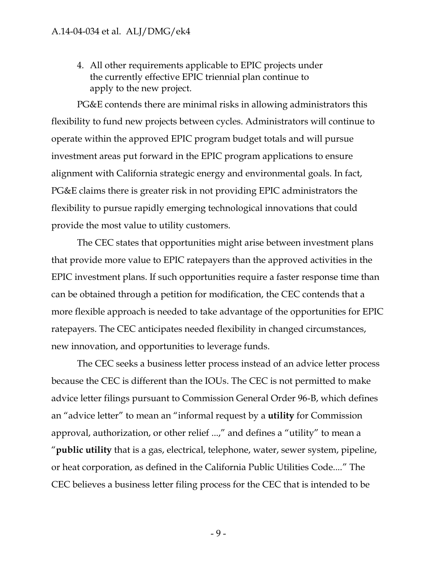4. All other requirements applicable to EPIC projects under the currently effective EPIC triennial plan continue to apply to the new project.

PG&E contends there are minimal risks in allowing administrators this flexibility to fund new projects between cycles. Administrators will continue to operate within the approved EPIC program budget totals and will pursue investment areas put forward in the EPIC program applications to ensure alignment with California strategic energy and environmental goals. In fact, PG&E claims there is greater risk in not providing EPIC administrators the flexibility to pursue rapidly emerging technological innovations that could provide the most value to utility customers.

The CEC states that opportunities might arise between investment plans that provide more value to EPIC ratepayers than the approved activities in the EPIC investment plans. If such opportunities require a faster response time than can be obtained through a petition for modification, the CEC contends that a more flexible approach is needed to take advantage of the opportunities for EPIC ratepayers. The CEC anticipates needed flexibility in changed circumstances, new innovation, and opportunities to leverage funds.

The CEC seeks a business letter process instead of an advice letter process because the CEC is different than the IOUs. The CEC is not permitted to make advice letter filings pursuant to Commission General Order 96-B, which defines an "advice letter" to mean an "informal request by a **utility** for Commission approval, authorization, or other relief ...," and defines a "utility" to mean a "**public utility** that is a gas, electrical, telephone, water, sewer system, pipeline, or heat corporation, as defined in the California Public Utilities Code...." The CEC believes a business letter filing process for the CEC that is intended to be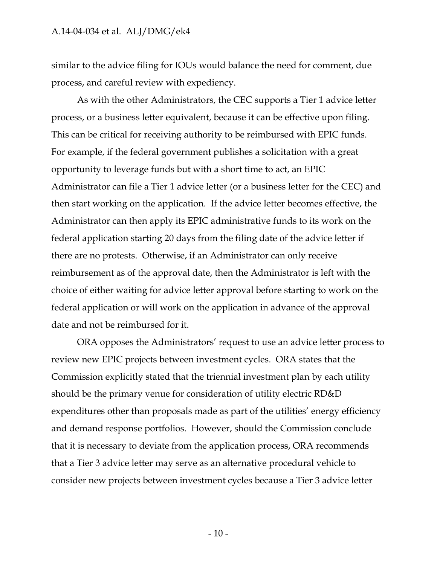similar to the advice filing for IOUs would balance the need for comment, due process, and careful review with expediency.

As with the other Administrators, the CEC supports a Tier 1 advice letter process, or a business letter equivalent, because it can be effective upon filing. This can be critical for receiving authority to be reimbursed with EPIC funds. For example, if the federal government publishes a solicitation with a great opportunity to leverage funds but with a short time to act, an EPIC Administrator can file a Tier 1 advice letter (or a business letter for the CEC) and then start working on the application. If the advice letter becomes effective, the Administrator can then apply its EPIC administrative funds to its work on the federal application starting 20 days from the filing date of the advice letter if there are no protests. Otherwise, if an Administrator can only receive reimbursement as of the approval date, then the Administrator is left with the choice of either waiting for advice letter approval before starting to work on the federal application or will work on the application in advance of the approval date and not be reimbursed for it.

ORA opposes the Administrators' request to use an advice letter process to review new EPIC projects between investment cycles. ORA states that the Commission explicitly stated that the triennial investment plan by each utility should be the primary venue for consideration of utility electric RD&D expenditures other than proposals made as part of the utilities' energy efficiency and demand response portfolios. However, should the Commission conclude that it is necessary to deviate from the application process, ORA recommends that a Tier 3 advice letter may serve as an alternative procedural vehicle to consider new projects between investment cycles because a Tier 3 advice letter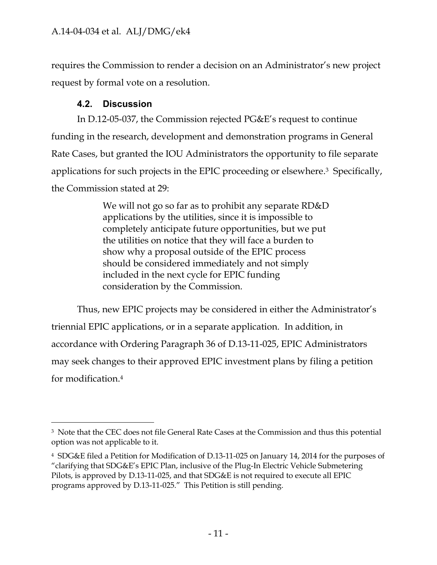requires the Commission to render a decision on an Administrator's new project request by formal vote on a resolution.

## **4.2. Discussion**

<span id="page-11-0"></span>In D.12-05-037, the Commission rejected PG&E's request to continue funding in the research, development and demonstration programs in General Rate Cases, but granted the IOU Administrators the opportunity to file separate applications for such projects in the EPIC proceeding or elsewhere. <sup>3</sup> Specifically, the Commission stated at 29:

> We will not go so far as to prohibit any separate RD&D applications by the utilities, since it is impossible to completely anticipate future opportunities, but we put the utilities on notice that they will face a burden to show why a proposal outside of the EPIC process should be considered immediately and not simply included in the next cycle for EPIC funding consideration by the Commission.

Thus, new EPIC projects may be considered in either the Administrator's triennial EPIC applications, or in a separate application. In addition, in accordance with Ordering Paragraph 36 of D.13-11-025, EPIC Administrators may seek changes to their approved EPIC investment plans by filing a petition for modification. 4

 $\overline{a}$ <sup>3</sup> Note that the CEC does not file General Rate Cases at the Commission and thus this potential option was not applicable to it.

<sup>4</sup> SDG&E filed a Petition for Modification of D.13-11-025 on January 14, 2014 for the purposes of "clarifying that SDG&E's EPIC Plan, inclusive of the Plug-In Electric Vehicle Submetering Pilots, is approved by D.13-11-025, and that SDG&E is not required to execute all EPIC programs approved by D.13-11-025." This Petition is still pending.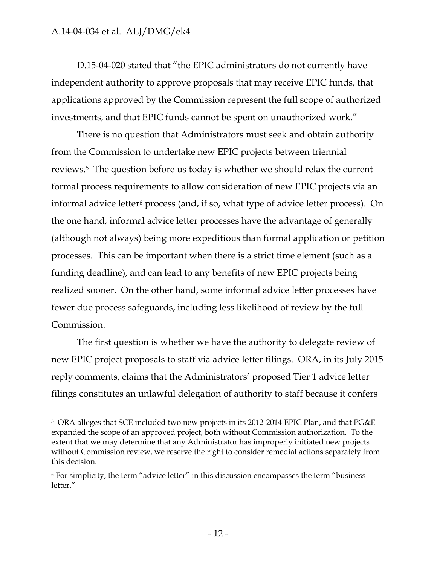$\overline{a}$ 

D.15-04-020 stated that "the EPIC administrators do not currently have independent authority to approve proposals that may receive EPIC funds, that applications approved by the Commission represent the full scope of authorized investments, and that EPIC funds cannot be spent on unauthorized work."

There is no question that Administrators must seek and obtain authority from the Commission to undertake new EPIC projects between triennial reviews.<sup>5</sup> The question before us today is whether we should relax the current formal process requirements to allow consideration of new EPIC projects via an informal advice letter<sup>6</sup> process (and, if so, what type of advice letter process). On the one hand, informal advice letter processes have the advantage of generally (although not always) being more expeditious than formal application or petition processes. This can be important when there is a strict time element (such as a funding deadline), and can lead to any benefits of new EPIC projects being realized sooner. On the other hand, some informal advice letter processes have fewer due process safeguards, including less likelihood of review by the full Commission.

The first question is whether we have the authority to delegate review of new EPIC project proposals to staff via advice letter filings. ORA, in its July 2015 reply comments, claims that the Administrators' proposed Tier 1 advice letter filings constitutes an unlawful delegation of authority to staff because it confers

<sup>5</sup> ORA alleges that SCE included two new projects in its 2012-2014 EPIC Plan, and that PG&E expanded the scope of an approved project, both without Commission authorization. To the extent that we may determine that any Administrator has improperly initiated new projects without Commission review, we reserve the right to consider remedial actions separately from this decision.

<sup>6</sup> For simplicity, the term "advice letter" in this discussion encompasses the term "business letter."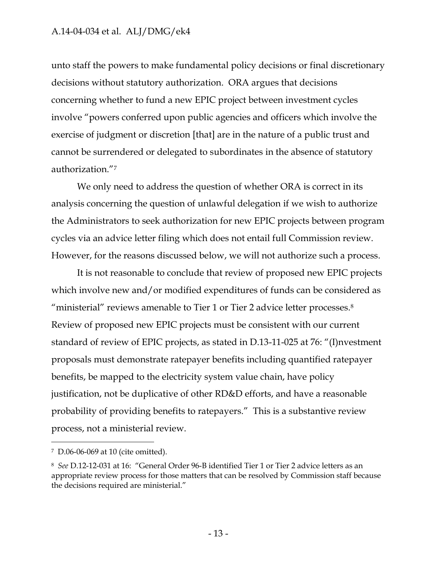unto staff the powers to make fundamental policy decisions or final discretionary decisions without statutory authorization. ORA argues that decisions concerning whether to fund a new EPIC project between investment cycles involve "powers conferred upon public agencies and officers which involve the exercise of judgment or discretion [that] are in the nature of a public trust and cannot be surrendered or delegated to subordinates in the absence of statutory authorization."<sup>7</sup>

We only need to address the question of whether ORA is correct in its analysis concerning the question of unlawful delegation if we wish to authorize the Administrators to seek authorization for new EPIC projects between program cycles via an advice letter filing which does not entail full Commission review. However, for the reasons discussed below, we will not authorize such a process.

It is not reasonable to conclude that review of proposed new EPIC projects which involve new and/or modified expenditures of funds can be considered as "ministerial" reviews amenable to Tier 1 or Tier 2 advice letter processes.<sup>8</sup> Review of proposed new EPIC projects must be consistent with our current standard of review of EPIC projects, as stated in D.13-11-025 at 76: "(I)nvestment proposals must demonstrate ratepayer benefits including quantified ratepayer benefits, be mapped to the electricity system value chain, have policy justification, not be duplicative of other RD&D efforts, and have a reasonable probability of providing benefits to ratepayers." This is a substantive review process, not a ministerial review.

 $\overline{a}$ 

<sup>7</sup> D.06-06-069 at 10 (cite omitted).

<sup>8</sup> *See* D.12-12-031 at 16: "General Order 96-B identified Tier 1 or Tier 2 advice letters as an appropriate review process for those matters that can be resolved by Commission staff because the decisions required are ministerial."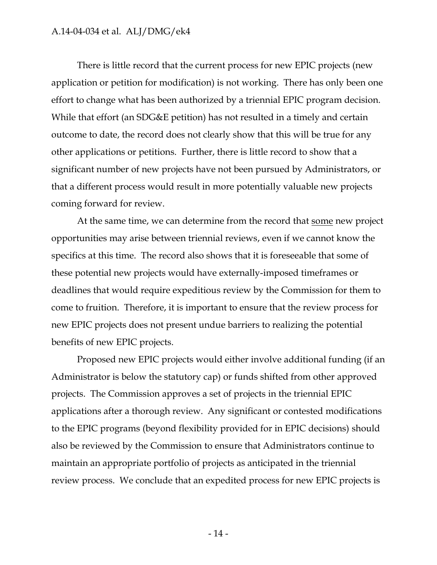There is little record that the current process for new EPIC projects (new application or petition for modification) is not working. There has only been one effort to change what has been authorized by a triennial EPIC program decision. While that effort (an SDG&E petition) has not resulted in a timely and certain outcome to date, the record does not clearly show that this will be true for any other applications or petitions. Further, there is little record to show that a significant number of new projects have not been pursued by Administrators, or that a different process would result in more potentially valuable new projects coming forward for review.

At the same time, we can determine from the record that some new project opportunities may arise between triennial reviews, even if we cannot know the specifics at this time. The record also shows that it is foreseeable that some of these potential new projects would have externally-imposed timeframes or deadlines that would require expeditious review by the Commission for them to come to fruition. Therefore, it is important to ensure that the review process for new EPIC projects does not present undue barriers to realizing the potential benefits of new EPIC projects.

Proposed new EPIC projects would either involve additional funding (if an Administrator is below the statutory cap) or funds shifted from other approved projects. The Commission approves a set of projects in the triennial EPIC applications after a thorough review. Any significant or contested modifications to the EPIC programs (beyond flexibility provided for in EPIC decisions) should also be reviewed by the Commission to ensure that Administrators continue to maintain an appropriate portfolio of projects as anticipated in the triennial review process. We conclude that an expedited process for new EPIC projects is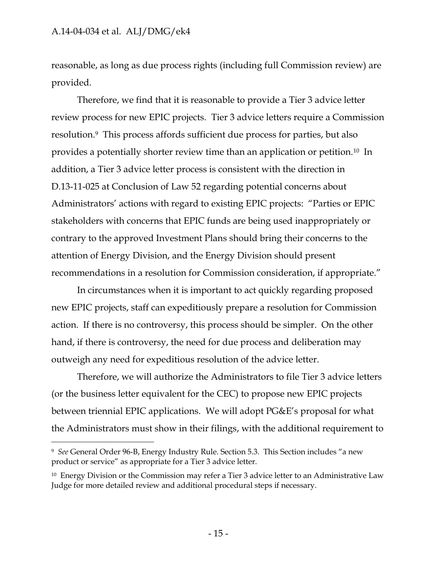$\overline{a}$ 

reasonable, as long as due process rights (including full Commission review) are provided.

Therefore, we find that it is reasonable to provide a Tier 3 advice letter review process for new EPIC projects. Tier 3 advice letters require a Commission resolution.9 This process affords sufficient due process for parties, but also provides a potentially shorter review time than an application or petition.<sup>10</sup> In addition, a Tier 3 advice letter process is consistent with the direction in D.13-11-025 at Conclusion of Law 52 regarding potential concerns about Administrators' actions with regard to existing EPIC projects: "Parties or EPIC stakeholders with concerns that EPIC funds are being used inappropriately or contrary to the approved Investment Plans should bring their concerns to the attention of Energy Division, and the Energy Division should present recommendations in a resolution for Commission consideration, if appropriate."

In circumstances when it is important to act quickly regarding proposed new EPIC projects, staff can expeditiously prepare a resolution for Commission action. If there is no controversy, this process should be simpler. On the other hand, if there is controversy, the need for due process and deliberation may outweigh any need for expeditious resolution of the advice letter.

Therefore, we will authorize the Administrators to file Tier 3 advice letters (or the business letter equivalent for the CEC) to propose new EPIC projects between triennial EPIC applications. We will adopt PG&E's proposal for what the Administrators must show in their filings, with the additional requirement to

<sup>9</sup> *See* General Order 96-B, Energy Industry Rule. Section 5.3. This Section includes "a new product or service" as appropriate for a Tier 3 advice letter.

<sup>10</sup> Energy Division or the Commission may refer a Tier 3 advice letter to an Administrative Law Judge for more detailed review and additional procedural steps if necessary.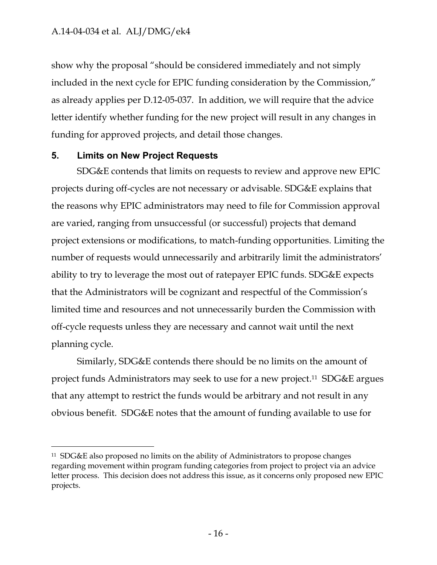show why the proposal "should be considered immediately and not simply included in the next cycle for EPIC funding consideration by the Commission," as already applies per D.12-05-037. In addition, we will require that the advice letter identify whether funding for the new project will result in any changes in funding for approved projects, and detail those changes.

#### <span id="page-16-0"></span>**5. Limits on New Project Requests**

 $\overline{a}$ 

SDG&E contends that limits on requests to review and approve new EPIC projects during off-cycles are not necessary or advisable. SDG&E explains that the reasons why EPIC administrators may need to file for Commission approval are varied, ranging from unsuccessful (or successful) projects that demand project extensions or modifications, to match-funding opportunities. Limiting the number of requests would unnecessarily and arbitrarily limit the administrators' ability to try to leverage the most out of ratepayer EPIC funds. SDG&E expects that the Administrators will be cognizant and respectful of the Commission's limited time and resources and not unnecessarily burden the Commission with off-cycle requests unless they are necessary and cannot wait until the next planning cycle.

Similarly, SDG&E contends there should be no limits on the amount of project funds Administrators may seek to use for a new project. <sup>11</sup> SDG&E argues that any attempt to restrict the funds would be arbitrary and not result in any obvious benefit. SDG&E notes that the amount of funding available to use for

<sup>11</sup> SDG&E also proposed no limits on the ability of Administrators to propose changes regarding movement within program funding categories from project to project via an advice letter process. This decision does not address this issue, as it concerns only proposed new EPIC projects.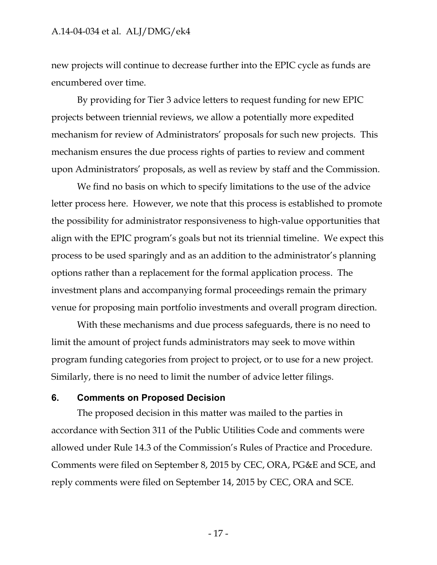new projects will continue to decrease further into the EPIC cycle as funds are encumbered over time.

By providing for Tier 3 advice letters to request funding for new EPIC projects between triennial reviews, we allow a potentially more expedited mechanism for review of Administrators' proposals for such new projects. This mechanism ensures the due process rights of parties to review and comment upon Administrators' proposals, as well as review by staff and the Commission.

We find no basis on which to specify limitations to the use of the advice letter process here. However, we note that this process is established to promote the possibility for administrator responsiveness to high-value opportunities that align with the EPIC program's goals but not its triennial timeline. We expect this process to be used sparingly and as an addition to the administrator's planning options rather than a replacement for the formal application process. The investment plans and accompanying formal proceedings remain the primary venue for proposing main portfolio investments and overall program direction.

With these mechanisms and due process safeguards, there is no need to limit the amount of project funds administrators may seek to move within program funding categories from project to project, or to use for a new project. Similarly, there is no need to limit the number of advice letter filings.

#### <span id="page-17-0"></span>**6. Comments on Proposed Decision**

The proposed decision in this matter was mailed to the parties in accordance with Section 311 of the Public Utilities Code and comments were allowed under Rule 14.3 of the Commission's Rules of Practice and Procedure. Comments were filed on September 8, 2015 by CEC, ORA, PG&E and SCE, and reply comments were filed on September 14, 2015 by CEC, ORA and SCE.

- 17 -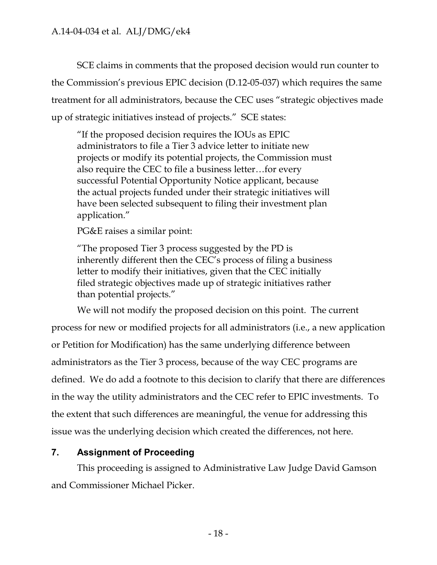SCE claims in comments that the proposed decision would run counter to the Commission's previous EPIC decision (D.12-05-037) which requires the same treatment for all administrators, because the CEC uses "strategic objectives made up of strategic initiatives instead of projects." SCE states:

"If the proposed decision requires the IOUs as EPIC administrators to file a Tier 3 advice letter to initiate new projects or modify its potential projects, the Commission must also require the CEC to file a business letter…for every successful Potential Opportunity Notice applicant, because the actual projects funded under their strategic initiatives will have been selected subsequent to filing their investment plan application."

PG&E raises a similar point:

"The proposed Tier 3 process suggested by the PD is inherently different then the CEC's process of filing a business letter to modify their initiatives, given that the CEC initially filed strategic objectives made up of strategic initiatives rather than potential projects."

We will not modify the proposed decision on this point. The current process for new or modified projects for all administrators (i.e., a new application or Petition for Modification) has the same underlying difference between administrators as the Tier 3 process, because of the way CEC programs are defined. We do add a footnote to this decision to clarify that there are differences in the way the utility administrators and the CEC refer to EPIC investments. To the extent that such differences are meaningful, the venue for addressing this issue was the underlying decision which created the differences, not here.

# <span id="page-18-0"></span>**7. Assignment of Proceeding**

This proceeding is assigned to Administrative Law Judge David Gamson and Commissioner Michael Picker.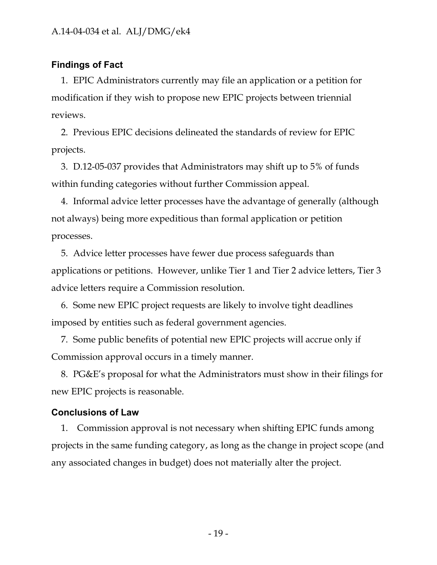### <span id="page-19-0"></span>**Findings of Fact**

1. EPIC Administrators currently may file an application or a petition for modification if they wish to propose new EPIC projects between triennial reviews.

2. Previous EPIC decisions delineated the standards of review for EPIC projects.

3. D.12-05-037 provides that Administrators may shift up to 5% of funds within funding categories without further Commission appeal.

4. Informal advice letter processes have the advantage of generally (although not always) being more expeditious than formal application or petition processes.

5. Advice letter processes have fewer due process safeguards than applications or petitions. However, unlike Tier 1 and Tier 2 advice letters, Tier 3 advice letters require a Commission resolution.

6. Some new EPIC project requests are likely to involve tight deadlines imposed by entities such as federal government agencies.

7. Some public benefits of potential new EPIC projects will accrue only if Commission approval occurs in a timely manner.

8. PG&E's proposal for what the Administrators must show in their filings for new EPIC projects is reasonable.

#### <span id="page-19-1"></span>**Conclusions of Law**

1. Commission approval is not necessary when shifting EPIC funds among projects in the same funding category, as long as the change in project scope (and any associated changes in budget) does not materially alter the project.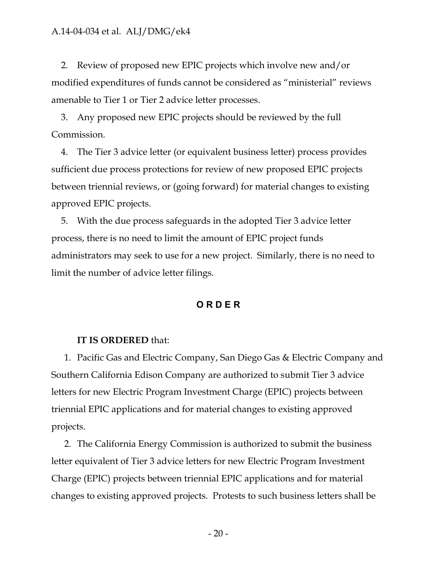2. Review of proposed new EPIC projects which involve new and/or modified expenditures of funds cannot be considered as "ministerial" reviews amenable to Tier 1 or Tier 2 advice letter processes.

3. Any proposed new EPIC projects should be reviewed by the full Commission.

4. The Tier 3 advice letter (or equivalent business letter) process provides sufficient due process protections for review of new proposed EPIC projects between triennial reviews, or (going forward) for material changes to existing approved EPIC projects.

5. With the due process safeguards in the adopted Tier 3 advice letter process, there is no need to limit the amount of EPIC project funds administrators may seek to use for a new project. Similarly, there is no need to limit the number of advice letter filings.

#### **O R D E R**

#### <span id="page-20-0"></span>**IT IS ORDERED** that:

1. Pacific Gas and Electric Company, San Diego Gas & Electric Company and Southern California Edison Company are authorized to submit Tier 3 advice letters for new Electric Program Investment Charge (EPIC) projects between triennial EPIC applications and for material changes to existing approved projects.

2. The California Energy Commission is authorized to submit the business letter equivalent of Tier 3 advice letters for new Electric Program Investment Charge (EPIC) projects between triennial EPIC applications and for material changes to existing approved projects. Protests to such business letters shall be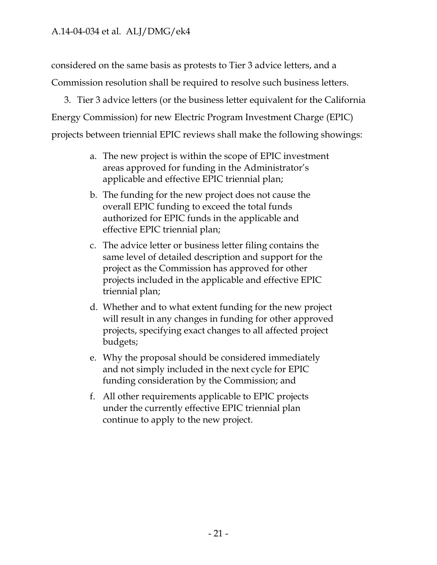considered on the same basis as protests to Tier 3 advice letters, and a Commission resolution shall be required to resolve such business letters.

3. Tier 3 advice letters (or the business letter equivalent for the California Energy Commission) for new Electric Program Investment Charge (EPIC) projects between triennial EPIC reviews shall make the following showings:

- a. The new project is within the scope of EPIC investment areas approved for funding in the Administrator's applicable and effective EPIC triennial plan;
- b. The funding for the new project does not cause the overall EPIC funding to exceed the total funds authorized for EPIC funds in the applicable and effective EPIC triennial plan;
- c. The advice letter or business letter filing contains the same level of detailed description and support for the project as the Commission has approved for other projects included in the applicable and effective EPIC triennial plan;
- d. Whether and to what extent funding for the new project will result in any changes in funding for other approved projects, specifying exact changes to all affected project budgets;
- e. Why the proposal should be considered immediately and not simply included in the next cycle for EPIC funding consideration by the Commission; and
- f. All other requirements applicable to EPIC projects under the currently effective EPIC triennial plan continue to apply to the new project.